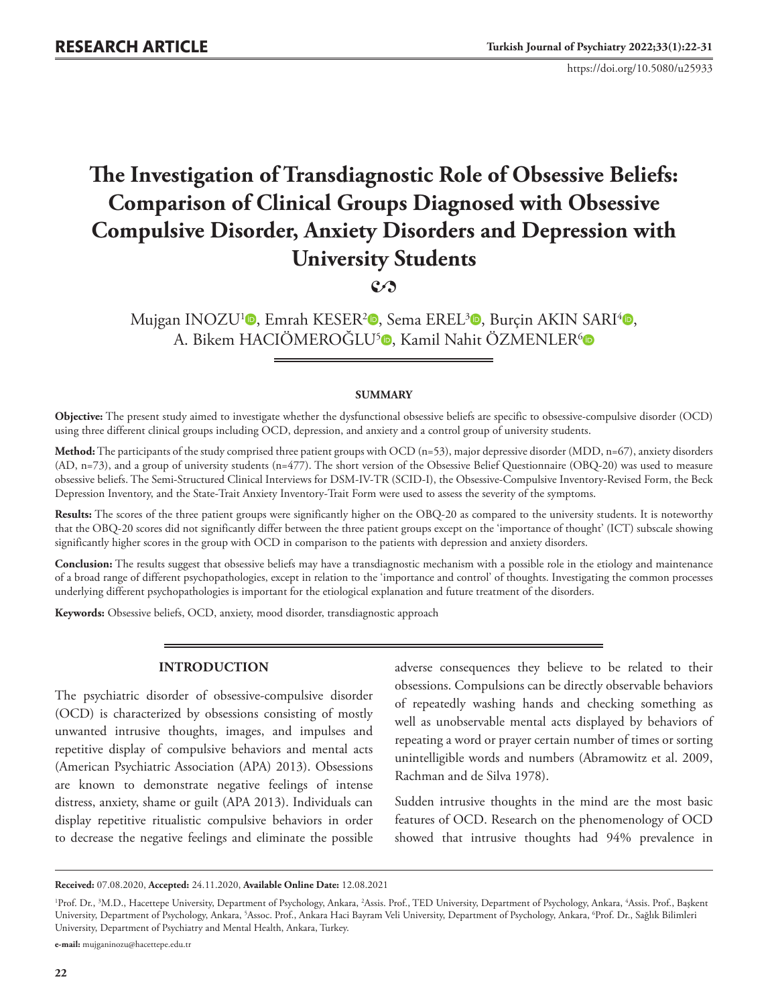https://doi.org/10.5080/u25933

# **The Investigation of Transdiagnostic Role of Obsessive Beliefs: Comparison of Clinical Groups Diagnosed with Obsessive Compulsive Disorder, Anxiety Disorders and Depression with University Students**

# **2**

Mujgan INOZU<sup>1</sup><sup>O</sup>[,](https://orcid.org/0000-0002-2212-7534) Emrah KESER<sup>2</sup>O, Sema EREL<sup>3</sup>O, Burçin AKIN SARI<sup>4</sup>O, A. Bikem HACIÖMEROĞLU<sup>[5](https://orcid.org/0000-0001-7133-740X)</sup>. Kamil Nahit ÖZMENLER<sup>6</sup>

### **SUMMARY**

**Objective:** The present study aimed to investigate whether the dysfunctional obsessive beliefs are specific to obsessive-compulsive disorder (OCD) using three different clinical groups including OCD, depression, and anxiety and a control group of university students.

Method: The participants of the study comprised three patient groups with OCD (n=53), major depressive disorder (MDD, n=67), anxiety disorders (AD, n=73), and a group of university students (n=477). The short version of the Obsessive Belief Questionnaire (OBQ-20) was used to measure obsessive beliefs. The Semi-Structured Clinical Interviews for DSM-IV-TR (SCID-I), the Obsessive-Compulsive Inventory-Revised Form, the Beck Depression Inventory, and the State-Trait Anxiety Inventory-Trait Form were used to assess the severity of the symptoms.

**Results:** The scores of the three patient groups were significantly higher on the OBQ-20 as compared to the university students. It is noteworthy that the OBQ-20 scores did not significantly differ between the three patient groups except on the 'importance of thought' (ICT) subscale showing significantly higher scores in the group with OCD in comparison to the patients with depression and anxiety disorders.

**Conclusion:** The results suggest that obsessive beliefs may have a transdiagnostic mechanism with a possible role in the etiology and maintenance of a broad range of different psychopathologies, except in relation to the 'importance and control' of thoughts. Investigating the common processes underlying different psychopathologies is important for the etiological explanation and future treatment of the disorders.

**Keywords:** Obsessive beliefs, OCD, anxiety, mood disorder, transdiagnostic approach

# **INTRODUCTION**

The psychiatric disorder of obsessive-compulsive disorder (OCD) is characterized by obsessions consisting of mostly unwanted intrusive thoughts, images, and impulses and repetitive display of compulsive behaviors and mental acts (American Psychiatric Association (APA) 2013). Obsessions are known to demonstrate negative feelings of intense distress, anxiety, shame or guilt (APA 2013). Individuals can display repetitive ritualistic compulsive behaviors in order to decrease the negative feelings and eliminate the possible

adverse consequences they believe to be related to their obsessions. Compulsions can be directly observable behaviors of repeatedly washing hands and checking something as well as unobservable mental acts displayed by behaviors of repeating a word or prayer certain number of times or sorting unintelligible words and numbers (Abramowitz et al. 2009, Rachman and de Silva 1978).

Sudden intrusive thoughts in the mind are the most basic features of OCD. Research on the phenomenology of OCD showed that intrusive thoughts had 94% prevalence in

**e-mail:** mujganinozu@hacettepe.edu.tr

**Received:** 07.08.2020, **Accepted:** 24.11.2020, **Available Online Date:** 12.08.2021

<sup>&</sup>lt;sup>1</sup>Prof. Dr., <sup>3</sup>M.D., Hacettepe University, Department of Psychology, Ankara, <sup>2</sup>Assis. Prof., TED University, Department of Psychology, Ankara, <sup>4</sup>Assis. Prof., Başkent University, Department of Psychology, Ankara, <sup>5</sup>Assoc. Prof., Ankara Haci Bayram Veli University, Department of Psychology, Ankara, <sup>6</sup>Prof. Dr., Sağlık Bilimleri University, Department of Psychiatry and Mental Health, Ankara, Turkey.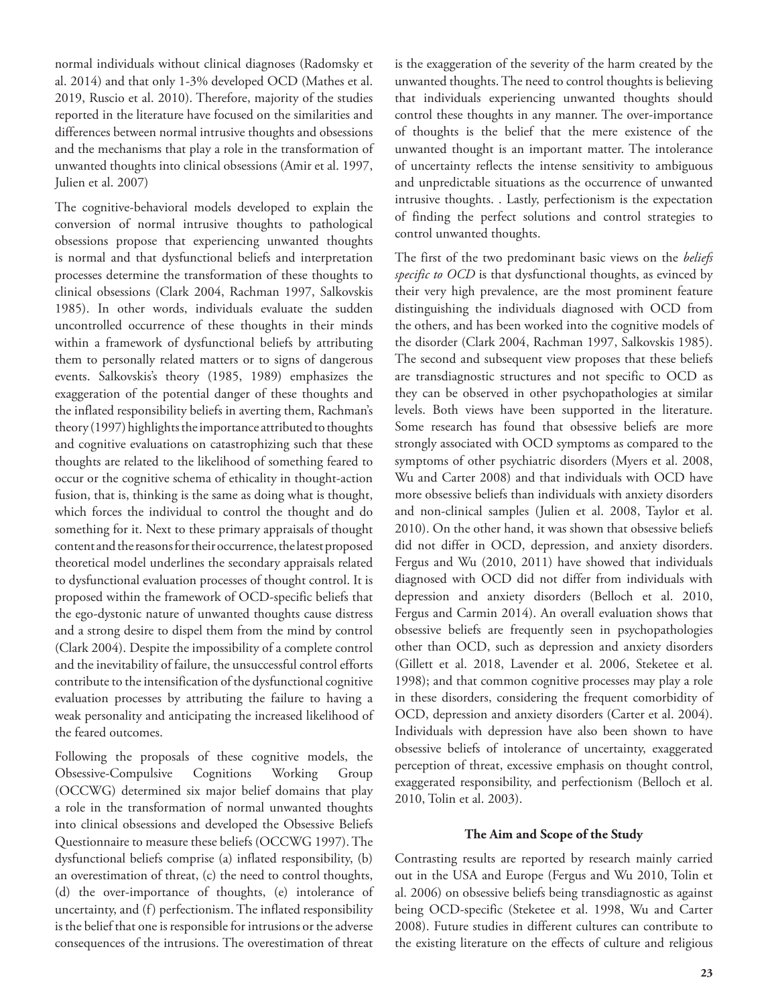normal individuals without clinical diagnoses (Radomsky et al. 2014) and that only 1-3% developed OCD (Mathes et al. 2019, Ruscio et al. 2010). Therefore, majority of the studies reported in the literature have focused on the similarities and differences between normal intrusive thoughts and obsessions and the mechanisms that play a role in the transformation of unwanted thoughts into clinical obsessions (Amir et al. 1997, Julien et al. 2007)

The cognitive-behavioral models developed to explain the conversion of normal intrusive thoughts to pathological obsessions propose that experiencing unwanted thoughts is normal and that dysfunctional beliefs and interpretation processes determine the transformation of these thoughts to clinical obsessions (Clark 2004, Rachman 1997, Salkovskis 1985). In other words, individuals evaluate the sudden uncontrolled occurrence of these thoughts in their minds within a framework of dysfunctional beliefs by attributing them to personally related matters or to signs of dangerous events. Salkovskis's theory (1985, 1989) emphasizes the exaggeration of the potential danger of these thoughts and the inflated responsibility beliefs in averting them, Rachman's theory (1997) highlights the importance attributed to thoughts and cognitive evaluations on catastrophizing such that these thoughts are related to the likelihood of something feared to occur or the cognitive schema of ethicality in thought-action fusion, that is, thinking is the same as doing what is thought, which forces the individual to control the thought and do something for it. Next to these primary appraisals of thought content and the reasons for their occurrence, the latest proposed theoretical model underlines the secondary appraisals related to dysfunctional evaluation processes of thought control. It is proposed within the framework of OCD-specific beliefs that the ego-dystonic nature of unwanted thoughts cause distress and a strong desire to dispel them from the mind by control (Clark 2004). Despite the impossibility of a complete control and the inevitability of failure, the unsuccessful control efforts contribute to the intensification of the dysfunctional cognitive evaluation processes by attributing the failure to having a weak personality and anticipating the increased likelihood of the feared outcomes.

Following the proposals of these cognitive models, the Obsessive-Compulsive Cognitions Working Group (OCCWG) determined six major belief domains that play a role in the transformation of normal unwanted thoughts into clinical obsessions and developed the Obsessive Beliefs Questionnaire to measure these beliefs (OCCWG 1997). The dysfunctional beliefs comprise (a) inflated responsibility, (b) an overestimation of threat, (c) the need to control thoughts, (d) the over-importance of thoughts, (e) intolerance of uncertainty, and (f) perfectionism. The inflated responsibility is the belief that one is responsible for intrusions or the adverse consequences of the intrusions. The overestimation of threat

is the exaggeration of the severity of the harm created by the unwanted thoughts. The need to control thoughts is believing that individuals experiencing unwanted thoughts should control these thoughts in any manner. The over-importance of thoughts is the belief that the mere existence of the unwanted thought is an important matter. The intolerance of uncertainty reflects the intense sensitivity to ambiguous and unpredictable situations as the occurrence of unwanted intrusive thoughts. . Lastly, perfectionism is the expectation of finding the perfect solutions and control strategies to control unwanted thoughts.

The first of the two predominant basic views on the *beliefs specific to OCD* is that dysfunctional thoughts, as evinced by their very high prevalence, are the most prominent feature distinguishing the individuals diagnosed with OCD from the others, and has been worked into the cognitive models of the disorder (Clark 2004, Rachman 1997, Salkovskis 1985). The second and subsequent view proposes that these beliefs are transdiagnostic structures and not specific to OCD as they can be observed in other psychopathologies at similar levels. Both views have been supported in the literature. Some research has found that obsessive beliefs are more strongly associated with OCD symptoms as compared to the symptoms of other psychiatric disorders (Myers et al. 2008, Wu and Carter 2008) and that individuals with OCD have more obsessive beliefs than individuals with anxiety disorders and non-clinical samples (Julien et al. 2008, Taylor et al. 2010). On the other hand, it was shown that obsessive beliefs did not differ in OCD, depression, and anxiety disorders. Fergus and Wu (2010, 2011) have showed that individuals diagnosed with OCD did not differ from individuals with depression and anxiety disorders (Belloch et al. 2010, Fergus and Carmin 2014). An overall evaluation shows that obsessive beliefs are frequently seen in psychopathologies other than OCD, such as depression and anxiety disorders (Gillett et al. 2018, Lavender et al. 2006, Steketee et al. 1998); and that common cognitive processes may play a role in these disorders, considering the frequent comorbidity of OCD, depression and anxiety disorders (Carter et al. 2004). Individuals with depression have also been shown to have obsessive beliefs of intolerance of uncertainty, exaggerated perception of threat, excessive emphasis on thought control, exaggerated responsibility, and perfectionism (Belloch et al. 2010, Tolin et al. 2003).

#### **The Aim and Scope of the Study**

Contrasting results are reported by research mainly carried out in the USA and Europe (Fergus and Wu 2010, Tolin et al. 2006) on obsessive beliefs being transdiagnostic as against being OCD-specific (Steketee et al. 1998, Wu and Carter 2008). Future studies in different cultures can contribute to the existing literature on the effects of culture and religious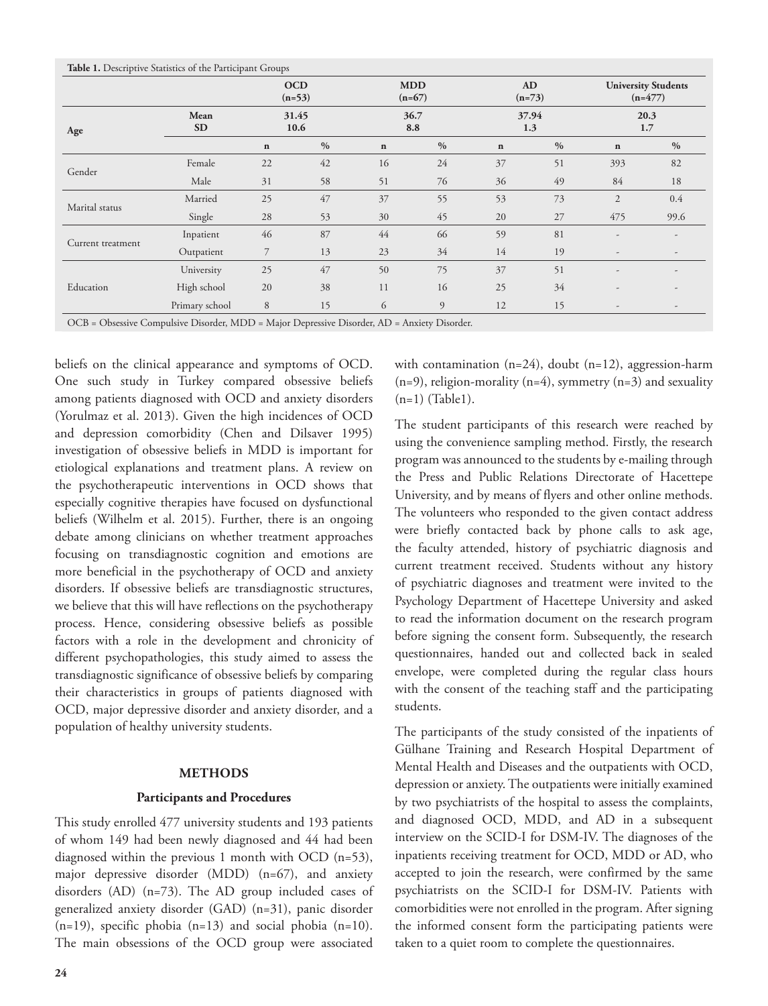|                   |                   | <b>OCD</b><br>$(n=53)$<br>31.45<br>10.6 |               | <b>MDD</b><br>$(n=67)$<br>36.7<br>8.8 |      | AD<br>$(n=73)$<br>37.94<br>1.3 |               | <b>University Students</b><br>$(n=477)$<br>20.3<br>1.7 |               |
|-------------------|-------------------|-----------------------------------------|---------------|---------------------------------------|------|--------------------------------|---------------|--------------------------------------------------------|---------------|
| Age               | Mean<br><b>SD</b> |                                         |               |                                       |      |                                |               |                                                        |               |
|                   |                   | $\mathbf n$                             | $\frac{0}{0}$ | $\mathbf n$                           | $\%$ | $\mathbf n$                    | $\frac{0}{0}$ | $\bf n$                                                | $\frac{0}{0}$ |
| Gender            | Female            | 22                                      | 42            | 16                                    | 24   | 37                             | 51            | 393                                                    | 82            |
|                   | Male              | 31                                      | 58            | 51                                    | 76   | 36                             | 49            | 84                                                     | 18            |
| Marital status    | Married           | 25                                      | 47            | 37                                    | 55   | 53                             | 73            | $\overline{2}$                                         | 0.4           |
|                   | Single            | 28                                      | 53            | 30                                    | 45   | 20                             | 27            | 475                                                    | 99.6          |
| Current treatment | Inpatient         | 46                                      | 87            | 44                                    | 66   | 59                             | 81            | ٠                                                      |               |
|                   | Outpatient        | 7                                       | 13            | 23                                    | 34   | 14                             | 19            | $\overline{\phantom{m}}$                               |               |
| Education         | University        | 25                                      | 47            | 50                                    | 75   | 37                             | 51            | $\overline{\phantom{0}}$                               | -             |
|                   | High school       | 20                                      | 38            | 11                                    | 16   | 25                             | 34            | $\overline{a}$                                         |               |
|                   | Primary school    | 8                                       | 15            | 6                                     | 9    | 12                             | 15            | $\overline{\phantom{a}}$                               | -             |

beliefs on the clinical appearance and symptoms of OCD. One such study in Turkey compared obsessive beliefs among patients diagnosed with OCD and anxiety disorders (Yorulmaz et al. 2013). Given the high incidences of OCD and depression comorbidity (Chen and Dilsaver 1995) investigation of obsessive beliefs in MDD is important for etiological explanations and treatment plans. A review on the psychotherapeutic interventions in OCD shows that especially cognitive therapies have focused on dysfunctional beliefs (Wilhelm et al. 2015). Further, there is an ongoing debate among clinicians on whether treatment approaches focusing on transdiagnostic cognition and emotions are more beneficial in the psychotherapy of OCD and anxiety disorders. If obsessive beliefs are transdiagnostic structures, we believe that this will have reflections on the psychotherapy process. Hence, considering obsessive beliefs as possible factors with a role in the development and chronicity of different psychopathologies, this study aimed to assess the transdiagnostic significance of obsessive beliefs by comparing their characteristics in groups of patients diagnosed with OCD, major depressive disorder and anxiety disorder, and a population of healthy university students.

#### **METHODS**

#### **Participants and Procedures**

This study enrolled 477 university students and 193 patients of whom 149 had been newly diagnosed and 44 had been diagnosed within the previous 1 month with OCD (n=53), major depressive disorder (MDD) (n=67), and anxiety disorders (AD) (n=73). The AD group included cases of generalized anxiety disorder (GAD) (n=31), panic disorder  $(n=19)$ , specific phobia  $(n=13)$  and social phobia  $(n=10)$ . The main obsessions of the OCD group were associated

with contamination  $(n=24)$ , doubt  $(n=12)$ , aggression-harm  $(n=9)$ , religion-morality  $(n=4)$ , symmetry  $(n=3)$  and sexuality  $(n=1)$  (Table1).

The student participants of this research were reached by using the convenience sampling method. Firstly, the research program was announced to the students by e-mailing through the Press and Public Relations Directorate of Hacettepe University, and by means of flyers and other online methods. The volunteers who responded to the given contact address were briefly contacted back by phone calls to ask age, the faculty attended, history of psychiatric diagnosis and current treatment received. Students without any history of psychiatric diagnoses and treatment were invited to the Psychology Department of Hacettepe University and asked to read the information document on the research program before signing the consent form. Subsequently, the research questionnaires, handed out and collected back in sealed envelope, were completed during the regular class hours with the consent of the teaching staff and the participating students.

The participants of the study consisted of the inpatients of Gülhane Training and Research Hospital Department of Mental Health and Diseases and the outpatients with OCD, depression or anxiety. The outpatients were initially examined by two psychiatrists of the hospital to assess the complaints, and diagnosed OCD, MDD, and AD in a subsequent interview on the SCID-I for DSM-IV. The diagnoses of the inpatients receiving treatment for OCD, MDD or AD, who accepted to join the research, were confirmed by the same psychiatrists on the SCID-I for DSM-IV. Patients with comorbidities were not enrolled in the program. After signing the informed consent form the participating patients were taken to a quiet room to complete the questionnaires.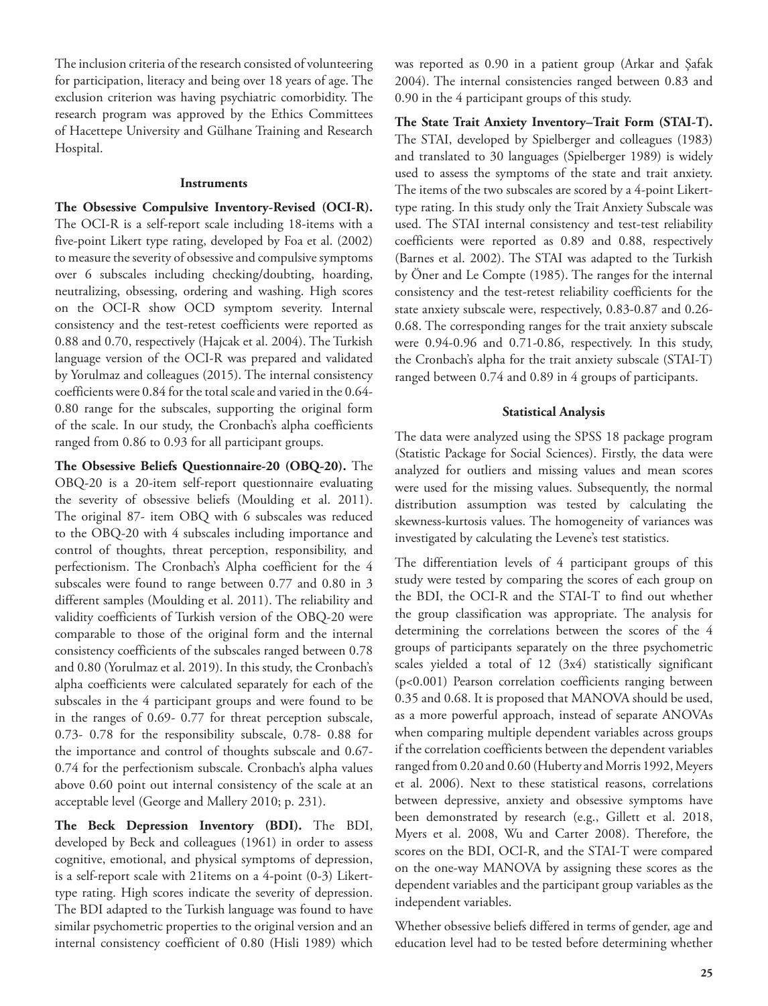The inclusion criteria of the research consisted of volunteering for participation, literacy and being over 18 years of age. The exclusion criterion was having psychiatric comorbidity. The research program was approved by the Ethics Committees of Hacettepe University and Gülhane Training and Research Hospital.

#### **Instruments**

**The Obsessive Compulsive Inventory-Revised (OCI-R).**  The OCI-R is a self-report scale including 18-items with a five-point Likert type rating, developed by Foa et al. (2002) to measure the severity of obsessive and compulsive symptoms over 6 subscales including checking/doubting, hoarding, neutralizing, obsessing, ordering and washing. High scores on the OCI-R show OCD symptom severity. Internal consistency and the test-retest coefficients were reported as 0.88 and 0.70, respectively (Hajcak et al. 2004). The Turkish language version of the OCI-R was prepared and validated by Yorulmaz and colleagues (2015). The internal consistency coefficients were 0.84 for the total scale and varied in the 0.64- 0.80 range for the subscales, supporting the original form of the scale. In our study, the Cronbach's alpha coefficients ranged from 0.86 to 0.93 for all participant groups.

**The Obsessive Beliefs Questionnaire-20 (OBQ-20).** The OBQ-20 is a 20-item self-report questionnaire evaluating the severity of obsessive beliefs (Moulding et al. 2011). The original 87- item OBQ with 6 subscales was reduced to the OBQ-20 with 4 subscales including importance and control of thoughts, threat perception, responsibility, and perfectionism. The Cronbach's Alpha coefficient for the 4 subscales were found to range between 0.77 and 0.80 in 3 different samples (Moulding et al. 2011). The reliability and validity coefficients of Turkish version of the OBQ-20 were comparable to those of the original form and the internal consistency coefficients of the subscales ranged between 0.78 and 0.80 (Yorulmaz et al. 2019). In this study, the Cronbach's alpha coefficients were calculated separately for each of the subscales in the 4 participant groups and were found to be in the ranges of 0.69- 0.77 for threat perception subscale, 0.73- 0.78 for the responsibility subscale, 0.78- 0.88 for the importance and control of thoughts subscale and 0.67- 0.74 for the perfectionism subscale. Cronbach's alpha values above 0.60 point out internal consistency of the scale at an acceptable level (George and Mallery 2010; p. 231).

**The Beck Depression Inventory (BDI).** The BDI, developed by Beck and colleagues (1961) in order to assess cognitive, emotional, and physical symptoms of depression, is a self-report scale with 21items on a 4-point (0-3) Likerttype rating. High scores indicate the severity of depression. The BDI adapted to the Turkish language was found to have similar psychometric properties to the original version and an internal consistency coefficient of 0.80 (Hisli 1989) which was reported as 0.90 in a patient group (Arkar and Şafak 2004). The internal consistencies ranged between 0.83 and 0.90 in the 4 participant groups of this study.

**The State Trait Anxiety Inventory–Trait Form (STAI-T).**  The STAI, developed by Spielberger and colleagues (1983) and translated to 30 languages (Spielberger 1989) is widely used to assess the symptoms of the state and trait anxiety. The items of the two subscales are scored by a 4-point Likerttype rating. In this study only the Trait Anxiety Subscale was used. The STAI internal consistency and test-test reliability coefficients were reported as 0.89 and 0.88, respectively (Barnes et al. 2002). The STAI was adapted to the Turkish by Öner and Le Compte (1985). The ranges for the internal consistency and the test-retest reliability coefficients for the state anxiety subscale were, respectively, 0.83-0.87 and 0.26- 0.68. The corresponding ranges for the trait anxiety subscale were 0.94-0.96 and 0.71-0.86, respectively. In this study, the Cronbach's alpha for the trait anxiety subscale (STAI-T) ranged between 0.74 and 0.89 in 4 groups of participants.

#### **Statistical Analysis**

The data were analyzed using the SPSS 18 package program (Statistic Package for Social Sciences). Firstly, the data were analyzed for outliers and missing values and mean scores were used for the missing values. Subsequently, the normal distribution assumption was tested by calculating the skewness-kurtosis values. The homogeneity of variances was investigated by calculating the Levene's test statistics.

The differentiation levels of 4 participant groups of this study were tested by comparing the scores of each group on the BDI, the OCI-R and the STAI-T to find out whether the group classification was appropriate. The analysis for determining the correlations between the scores of the 4 groups of participants separately on the three psychometric scales yielded a total of 12 (3x4) statistically significant (p<0.001) Pearson correlation coefficients ranging between 0.35 and 0.68. It is proposed that MANOVA should be used, as a more powerful approach, instead of separate ANOVAs when comparing multiple dependent variables across groups if the correlation coefficients between the dependent variables ranged from 0.20 and 0.60 (Huberty and Morris 1992, Meyers et al. 2006). Next to these statistical reasons, correlations between depressive, anxiety and obsessive symptoms have been demonstrated by research (e.g., Gillett et al. 2018, Myers et al. 2008, Wu and Carter 2008). Therefore, the scores on the BDI, OCI-R, and the STAI-T were compared on the one-way MANOVA by assigning these scores as the dependent variables and the participant group variables as the independent variables.

Whether obsessive beliefs differed in terms of gender, age and education level had to be tested before determining whether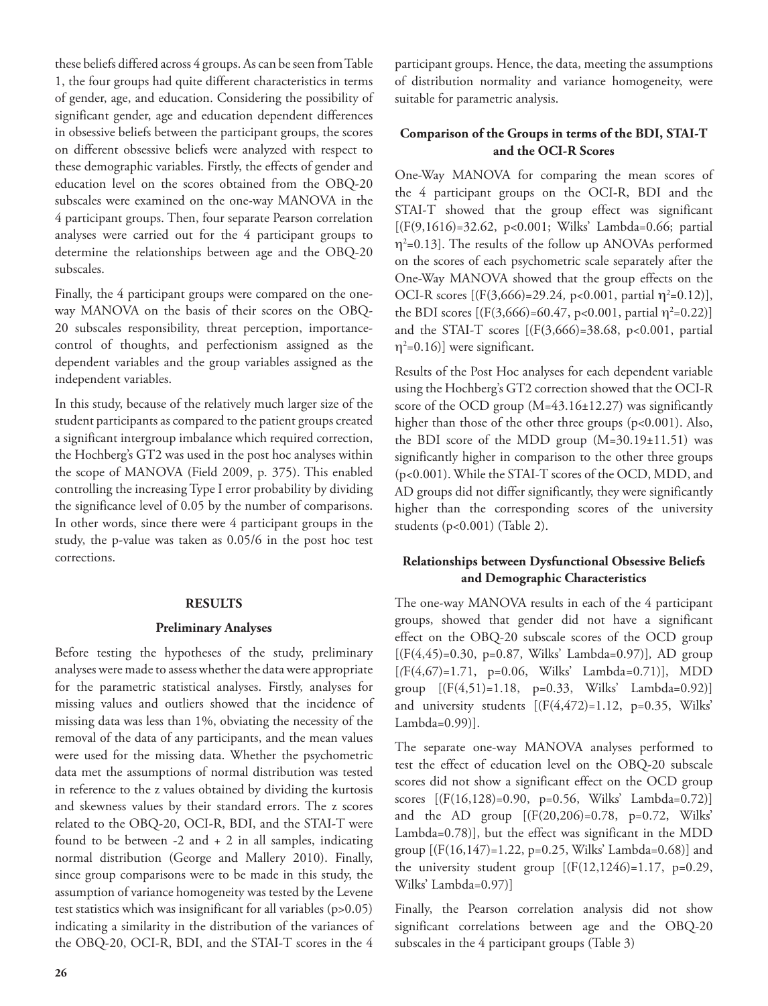these beliefs differed across 4 groups. As can be seen from Table 1, the four groups had quite different characteristics in terms of gender, age, and education. Considering the possibility of significant gender, age and education dependent differences in obsessive beliefs between the participant groups, the scores on different obsessive beliefs were analyzed with respect to these demographic variables. Firstly, the effects of gender and education level on the scores obtained from the OBQ-20 subscales were examined on the one-way MANOVA in the 4 participant groups. Then, four separate Pearson correlation analyses were carried out for the 4 participant groups to determine the relationships between age and the OBQ-20 subscales.

Finally, the 4 participant groups were compared on the oneway MANOVA on the basis of their scores on the OBQ-20 subscales responsibility, threat perception, importancecontrol of thoughts, and perfectionism assigned as the dependent variables and the group variables assigned as the independent variables.

In this study, because of the relatively much larger size of the student participants as compared to the patient groups created a significant intergroup imbalance which required correction, the Hochberg's GT2 was used in the post hoc analyses within the scope of MANOVA (Field 2009, p. 375). This enabled controlling the increasing Type I error probability by dividing the significance level of 0.05 by the number of comparisons. In other words, since there were 4 participant groups in the study, the p-value was taken as 0.05/6 in the post hoc test corrections.

#### **RESULTS**

# **Preliminary Analyses**

Before testing the hypotheses of the study, preliminary analyses were made to assess whether the data were appropriate for the parametric statistical analyses. Firstly, analyses for missing values and outliers showed that the incidence of missing data was less than 1%, obviating the necessity of the removal of the data of any participants, and the mean values were used for the missing data. Whether the psychometric data met the assumptions of normal distribution was tested in reference to the z values obtained by dividing the kurtosis and skewness values by their standard errors. The z scores related to the OBQ-20, OCI-R, BDI, and the STAI-T were found to be between  $-2$  and  $+2$  in all samples, indicating normal distribution (George and Mallery 2010). Finally, since group comparisons were to be made in this study, the assumption of variance homogeneity was tested by the Levene test statistics which was insignificant for all variables (p>0.05) indicating a similarity in the distribution of the variances of the OBQ-20, OCI-R, BDI, and the STAI-T scores in the 4

participant groups. Hence, the data, meeting the assumptions of distribution normality and variance homogeneity, were suitable for parametric analysis.

# **Comparison of the Groups in terms of the BDI, STAI-T and the OCI-R Scores**

One-Way MANOVA for comparing the mean scores of the 4 participant groups on the OCI-R, BDI and the STAI-T showed that the group effect was significant [(F(9,1616)=32.62, p<0.001; Wilks' Lambda=0.66; partial  $\eta^2$ =0.13]. The results of the follow up ANOVAs performed on the scores of each psychometric scale separately after the One-Way MANOVA showed that the group effects on the OCI-R scores  $[(F(3,666)=29.24, p<0.001, partial \eta^2=0.12)],$ the BDI scores  $[(F(3,666)=60.47, p<0.001, partial \eta^2=0.22)]$ and the STAI-T scores  $[(F(3,666)=38.68, p<0.001, partial$  $\eta^2$ =0.16)] were significant.

Results of the Post Hoc analyses for each dependent variable using the Hochberg's GT2 correction showed that the OCI-R score of the OCD group (M=43.16±12.27) was significantly higher than those of the other three groups (p<0.001). Also, the BDI score of the MDD group (M=30.19±11.51) was significantly higher in comparison to the other three groups (p<0.001). While the STAI-T scores of the OCD, MDD, and AD groups did not differ significantly, they were significantly higher than the corresponding scores of the university students (p<0.001) (Table 2).

# **Relationships between Dysfunctional Obsessive Beliefs and Demographic Characteristics**

The one-way MANOVA results in each of the 4 participant groups, showed that gender did not have a significant effect on the OBQ-20 subscale scores of the OCD group [(F(4,45)=0.30, p=0.87, Wilks' Lambda=0.97)]*,* AD group [*(*F(4,67)=1.71, p=0.06, Wilks' Lambda*=*0.71)], MDD group [(F(4,51)=1.18, p=0.33, Wilks' Lambda=0.92)] and university students [(F(4,472)=1.12, p=0.35, Wilks' Lambda=0.99)].

The separate one-way MANOVA analyses performed to test the effect of education level on the OBQ-20 subscale scores did not show a significant effect on the OCD group scores [(F(16,128)=0.90, p=0.56, Wilks' Lambda=0.72)] and the AD group [(F(20,206)=0.78, p=0.72, Wilks' Lambda=0.78)], but the effect was significant in the MDD group  $[(F(16,147)=1.22, p=0.25, Wilks' Lambda=0.68)]$  and the university student group  $[(F(12,1246)=1.17, p=0.29,$ Wilks' Lambda=0.97)]

Finally, the Pearson correlation analysis did not show significant correlations between age and the OBQ-20 subscales in the 4 participant groups (Table 3)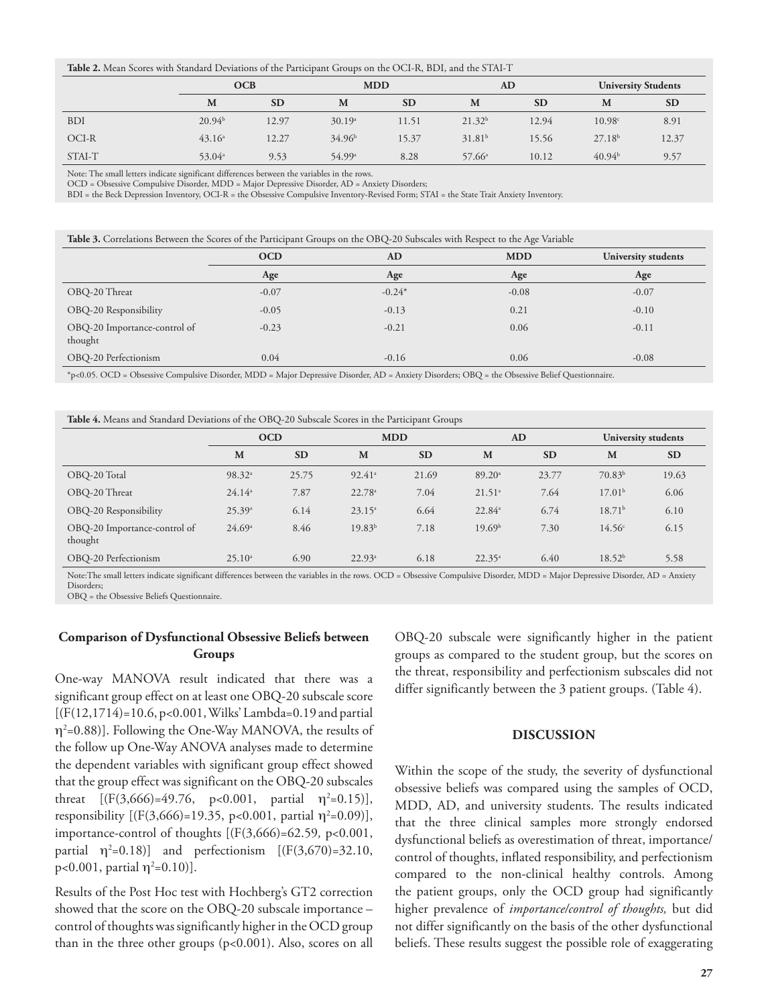**Table 2.** Mean Scores with Standard Deviations of the Participant Groups on the OCI-R, BDI, and the STAI-T

|            | OCB                |           | <b>MDD</b>         |           | <b>AD</b>          |           | <b>University Students</b> |           |
|------------|--------------------|-----------|--------------------|-----------|--------------------|-----------|----------------------------|-----------|
|            | M                  | <b>SD</b> | M                  | <b>SD</b> | M                  | <b>SD</b> | M                          | <b>SD</b> |
| <b>BDI</b> | $20.94^{b}$        | 12.97     | 30.19a             | 11.51     | 21.32 <sup>b</sup> | 12.94     | 10.98c                     | 8.91      |
| OCI-R      | 43.16 <sup>a</sup> | 12.27     | $34.96^{\rm b}$    | 15.37     | $31.81^{b}$        | 15.56     | 27.18 <sup>b</sup>         | 12.37     |
| STAI-T     | 53.04 <sup>a</sup> | 9.53      | 54.99 <sup>a</sup> | 8.28      | $57.66^{\circ}$    | 10.12     | 40.94 <sup>b</sup>         | 9.57      |

Note: The small letters indicate significant differences between the variables in the rows.

OCD = Obsessive Compulsive Disorder, MDD = Major Depressive Disorder, AD = Anxiety Disorders;

BDI = the Beck Depression Inventory, OCI-R = the Obsessive Compulsive Inventory-Revised Form; STAI = the State Trait Anxiety Inventory.

| Table 3. Correlations Between the Scores of the Participant Groups on the OBQ-20 Subscales with Respect to the Age Variable |            |           |            |                     |  |  |  |
|-----------------------------------------------------------------------------------------------------------------------------|------------|-----------|------------|---------------------|--|--|--|
|                                                                                                                             | <b>OCD</b> | <b>AD</b> | <b>MDD</b> | University students |  |  |  |
|                                                                                                                             | Age        | Age       | Age        | Age                 |  |  |  |
| OBQ-20 Threat                                                                                                               | $-0.07$    | $-0.24*$  | $-0.08$    | $-0.07$             |  |  |  |
| OBQ-20 Responsibility                                                                                                       | $-0.05$    | $-0.13$   | 0.21       | $-0.10$             |  |  |  |
| OBQ-20 Importance-control of<br>thought                                                                                     | $-0.23$    | $-0.21$   | 0.06       | $-0.11$             |  |  |  |
| OBO-20 Perfectionism                                                                                                        | 0.04       | $-0.16$   | 0.06       | $-0.08$             |  |  |  |

\*p<0.05. OCD = Obsessive Compulsive Disorder, MDD = Major Depressive Disorder, AD = Anxiety Disorders; OBQ = the Obsessive Belief Questionnaire.

| Table 4. Means and Standard Deviations of the OBQ-20 Subscale Scores in the Participant Groups |  |  |
|------------------------------------------------------------------------------------------------|--|--|
|------------------------------------------------------------------------------------------------|--|--|

|                                         | $\sim$<br>$\sim$   |           |                                           |                      |                    |                                     |                     |           |
|-----------------------------------------|--------------------|-----------|-------------------------------------------|----------------------|--------------------|-------------------------------------|---------------------|-----------|
|                                         | <b>OCD</b>         |           | <b>MDD</b>                                |                      | <b>AD</b>          |                                     | University students |           |
|                                         | M                  | <b>SD</b> | M                                         | <b>SD</b>            | M                  | <b>SD</b>                           | M                   | <b>SD</b> |
| OBO-20 Total                            | 98.32 <sup>a</sup> | 25.75     | $92.41$ <sup>a</sup>                      | 21.69                | 89.20 <sup>a</sup> | 23.77                               | 70.83 <sup>b</sup>  | 19.63     |
| OBO-20 Threat                           | $24.14^a$          | 7.87      | 22.78 <sup>a</sup>                        | 7.04                 | 21.51 <sup>a</sup> | 7.64                                | 17.01 <sup>b</sup>  | 6.06      |
| OBQ-20 Responsibility                   | 25.39a             | 6.14      | $23.15^a$                                 | 6.64                 | $22.84^{\circ}$    | 6.74                                | 18.71 <sup>b</sup>  | 6.10      |
| OBQ-20 Importance-control of<br>thought | 24.69a             | 8.46      | $19.83^{b}$                               | 7.18                 | 19.69 <sup>b</sup> | 7.30                                | 14.56c              | 6.15      |
| OBO-20 Perfectionism                    | $25.10^a$          | 6.90      | $22.93^{\circ}$                           | 6.18                 | $22.35^{\circ}$    | 6.40                                | 18.52 <sup>b</sup>  | 5.58      |
|                                         | $1 - \alpha$       |           | $\sim$ $\sim$ $\sim$ $\sim$ $\sim$ $\sim$ | $\sim$ $\sim$ $\sim$ |                    | the second the second second second |                     |           |

Note:The small letters indicate significant differences between the variables in the rows. OCD = Obsessive Compulsive Disorder, MDD = Major Depressive Disorder, AD = Anxiety Disorders;

OBQ = the Obsessive Beliefs Questionnaire.

# **Comparison of Dysfunctional Obsessive Beliefs between Groups**

One-way MANOVA result indicated that there was a significant group effect on at least one OBQ-20 subscale score  $[(F(12,1714)=10.6, p<0.001, Wilks' Lambda=0.19 and partial$ η2 =0.88)]. Following the One-Way MANOVA, the results of the follow up One-Way ANOVA analyses made to determine the dependent variables with significant group effect showed that the group effect was significant on the OBQ-20 subscales threat  $[(F(3,666)=49.76, p<0.001, partial \eta^2=0.15)],$ responsibility [(F(3,666)=19.35, p<0.001, partial  $\eta^2$ =0.09)], importance-control of thoughts [(F(3,666)=62.59*,* p<0.001, partial  $\eta^2$ =0.18)] and perfectionism [(F(3,670)=32.10, p<0.001, partial  $\eta^2$ =0.10)].

Results of the Post Hoc test with Hochberg's GT2 correction showed that the score on the OBQ-20 subscale importance – control of thoughts was significantly higher in the OCD group than in the three other groups (p<0.001). Also, scores on all

OBQ-20 subscale were significantly higher in the patient groups as compared to the student group, but the scores on the threat, responsibility and perfectionism subscales did not differ significantly between the 3 patient groups. (Table 4).

#### **DISCUSSION**

Within the scope of the study, the severity of dysfunctional obsessive beliefs was compared using the samples of OCD, MDD, AD, and university students. The results indicated that the three clinical samples more strongly endorsed dysfunctional beliefs as overestimation of threat, importance/ control of thoughts, inflated responsibility, and perfectionism compared to the non-clinical healthy controls. Among the patient groups, only the OCD group had significantly higher prevalence of *importance/control of thoughts,* but did not differ significantly on the basis of the other dysfunctional beliefs. These results suggest the possible role of exaggerating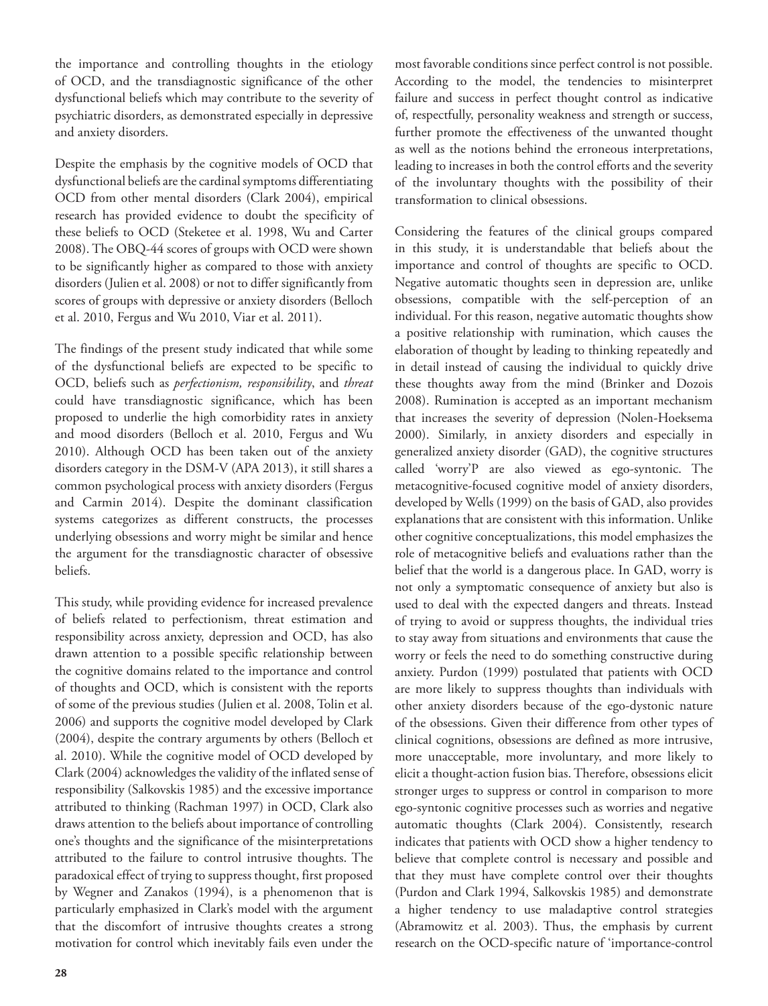the importance and controlling thoughts in the etiology of OCD, and the transdiagnostic significance of the other dysfunctional beliefs which may contribute to the severity of psychiatric disorders, as demonstrated especially in depressive and anxiety disorders.

Despite the emphasis by the cognitive models of OCD that dysfunctional beliefs are the cardinal symptoms differentiating OCD from other mental disorders (Clark 2004), empirical research has provided evidence to doubt the specificity of these beliefs to OCD (Steketee et al. 1998, Wu and Carter 2008). The OBQ-44 scores of groups with OCD were shown to be significantly higher as compared to those with anxiety disorders (Julien et al. 2008) or not to differ significantly from scores of groups with depressive or anxiety disorders (Belloch et al. 2010, Fergus and Wu 2010, Viar et al. 2011).

The findings of the present study indicated that while some of the dysfunctional beliefs are expected to be specific to OCD, beliefs such as *perfectionism, responsibility*, and *threat* could have transdiagnostic significance, which has been proposed to underlie the high comorbidity rates in anxiety and mood disorders (Belloch et al. 2010, Fergus and Wu 2010). Although OCD has been taken out of the anxiety disorders category in the DSM-V (APA 2013), it still shares a common psychological process with anxiety disorders (Fergus and Carmin 2014). Despite the dominant classification systems categorizes as different constructs, the processes underlying obsessions and worry might be similar and hence the argument for the transdiagnostic character of obsessive beliefs.

This study, while providing evidence for increased prevalence of beliefs related to perfectionism, threat estimation and responsibility across anxiety, depression and OCD, has also drawn attention to a possible specific relationship between the cognitive domains related to the importance and control of thoughts and OCD, which is consistent with the reports of some of the previous studies (Julien et al. 2008, Tolin et al. 2006) and supports the cognitive model developed by Clark (2004), despite the contrary arguments by others (Belloch et al. 2010). While the cognitive model of OCD developed by Clark (2004) acknowledges the validity of the inflated sense of responsibility (Salkovskis 1985) and the excessive importance attributed to thinking (Rachman 1997) in OCD, Clark also draws attention to the beliefs about importance of controlling one's thoughts and the significance of the misinterpretations attributed to the failure to control intrusive thoughts. The paradoxical effect of trying to suppress thought, first proposed by Wegner and Zanakos (1994), is a phenomenon that is particularly emphasized in Clark's model with the argument that the discomfort of intrusive thoughts creates a strong motivation for control which inevitably fails even under the

most favorable conditions since perfect control is not possible. According to the model, the tendencies to misinterpret failure and success in perfect thought control as indicative of, respectfully, personality weakness and strength or success, further promote the effectiveness of the unwanted thought as well as the notions behind the erroneous interpretations, leading to increases in both the control efforts and the severity of the involuntary thoughts with the possibility of their transformation to clinical obsessions.

Considering the features of the clinical groups compared in this study, it is understandable that beliefs about the importance and control of thoughts are specific to OCD. Negative automatic thoughts seen in depression are, unlike obsessions, compatible with the self-perception of an individual. For this reason, negative automatic thoughts show a positive relationship with rumination, which causes the elaboration of thought by leading to thinking repeatedly and in detail instead of causing the individual to quickly drive these thoughts away from the mind (Brinker and Dozois 2008). Rumination is accepted as an important mechanism that increases the severity of depression (Nolen-Hoeksema 2000). Similarly, in anxiety disorders and especially in generalized anxiety disorder (GAD), the cognitive structures called 'worry'P are also viewed as ego-syntonic. The metacognitive-focused cognitive model of anxiety disorders, developed by Wells (1999) on the basis of GAD, also provides explanations that are consistent with this information. Unlike other cognitive conceptualizations, this model emphasizes the role of metacognitive beliefs and evaluations rather than the belief that the world is a dangerous place. In GAD, worry is not only a symptomatic consequence of anxiety but also is used to deal with the expected dangers and threats. Instead of trying to avoid or suppress thoughts, the individual tries to stay away from situations and environments that cause the worry or feels the need to do something constructive during anxiety. Purdon (1999) postulated that patients with OCD are more likely to suppress thoughts than individuals with other anxiety disorders because of the ego-dystonic nature of the obsessions. Given their difference from other types of clinical cognitions, obsessions are defined as more intrusive, more unacceptable, more involuntary, and more likely to elicit a thought-action fusion bias. Therefore, obsessions elicit stronger urges to suppress or control in comparison to more ego-syntonic cognitive processes such as worries and negative automatic thoughts (Clark 2004). Consistently, research indicates that patients with OCD show a higher tendency to believe that complete control is necessary and possible and that they must have complete control over their thoughts (Purdon and Clark 1994, Salkovskis 1985) and demonstrate a higher tendency to use maladaptive control strategies (Abramowitz et al. 2003). Thus, the emphasis by current research on the OCD-specific nature of 'importance-control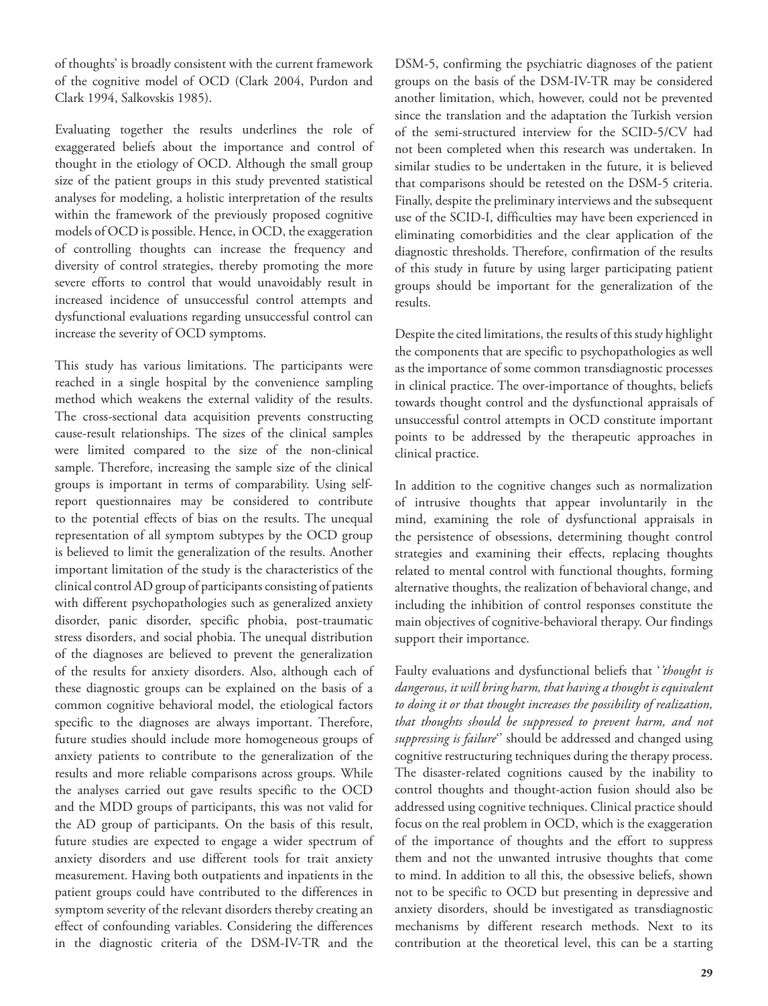of thoughts' is broadly consistent with the current framework of the cognitive model of OCD (Clark 2004, Purdon and Clark 1994, Salkovskis 1985).

Evaluating together the results underlines the role of exaggerated beliefs about the importance and control of thought in the etiology of OCD. Although the small group size of the patient groups in this study prevented statistical analyses for modeling, a holistic interpretation of the results within the framework of the previously proposed cognitive models of OCD is possible. Hence, in OCD, the exaggeration of controlling thoughts can increase the frequency and diversity of control strategies, thereby promoting the more severe efforts to control that would unavoidably result in increased incidence of unsuccessful control attempts and dysfunctional evaluations regarding unsuccessful control can increase the severity of OCD symptoms.

This study has various limitations. The participants were reached in a single hospital by the convenience sampling method which weakens the external validity of the results. The cross-sectional data acquisition prevents constructing cause-result relationships. The sizes of the clinical samples were limited compared to the size of the non-clinical sample. Therefore, increasing the sample size of the clinical groups is important in terms of comparability. Using selfreport questionnaires may be considered to contribute to the potential effects of bias on the results. The unequal representation of all symptom subtypes by the OCD group is believed to limit the generalization of the results. Another important limitation of the study is the characteristics of the clinical control AD group of participants consisting of patients with different psychopathologies such as generalized anxiety disorder, panic disorder, specific phobia, post-traumatic stress disorders, and social phobia. The unequal distribution of the diagnoses are believed to prevent the generalization of the results for anxiety disorders. Also, although each of these diagnostic groups can be explained on the basis of a common cognitive behavioral model, the etiological factors specific to the diagnoses are always important. Therefore, future studies should include more homogeneous groups of anxiety patients to contribute to the generalization of the results and more reliable comparisons across groups. While the analyses carried out gave results specific to the OCD and the MDD groups of participants, this was not valid for the AD group of participants. On the basis of this result, future studies are expected to engage a wider spectrum of anxiety disorders and use different tools for trait anxiety measurement. Having both outpatients and inpatients in the patient groups could have contributed to the differences in symptom severity of the relevant disorders thereby creating an effect of confounding variables. Considering the differences in the diagnostic criteria of the DSM-IV-TR and the

DSM-5, confirming the psychiatric diagnoses of the patient groups on the basis of the DSM-IV-TR may be considered another limitation, which, however, could not be prevented since the translation and the adaptation the Turkish version of the semi-structured interview for the SCID-5/CV had not been completed when this research was undertaken. In similar studies to be undertaken in the future, it is believed that comparisons should be retested on the DSM-5 criteria. Finally, despite the preliminary interviews and the subsequent use of the SCID-I, difficulties may have been experienced in eliminating comorbidities and the clear application of the diagnostic thresholds. Therefore, confirmation of the results of this study in future by using larger participating patient groups should be important for the generalization of the results.

Despite the cited limitations, the results of this study highlight the components that are specific to psychopathologies as well as the importance of some common transdiagnostic processes in clinical practice. The over-importance of thoughts, beliefs towards thought control and the dysfunctional appraisals of unsuccessful control attempts in OCD constitute important points to be addressed by the therapeutic approaches in clinical practice.

In addition to the cognitive changes such as normalization of intrusive thoughts that appear involuntarily in the mind, examining the role of dysfunctional appraisals in the persistence of obsessions, determining thought control strategies and examining their effects, replacing thoughts related to mental control with functional thoughts, forming alternative thoughts, the realization of behavioral change, and including the inhibition of control responses constitute the main objectives of cognitive-behavioral therapy. Our findings support their importance.

Faulty evaluations and dysfunctional beliefs that '*'thought is dangerous, it will bring harm, that having a thought is equivalent to doing it or that thought increases the possibility of realization, that thoughts should be suppressed to prevent harm, and not suppressing is failure*'' should be addressed and changed using cognitive restructuring techniques during the therapy process. The disaster-related cognitions caused by the inability to control thoughts and thought-action fusion should also be addressed using cognitive techniques. Clinical practice should focus on the real problem in OCD, which is the exaggeration of the importance of thoughts and the effort to suppress them and not the unwanted intrusive thoughts that come to mind. In addition to all this, the obsessive beliefs, shown not to be specific to OCD but presenting in depressive and anxiety disorders, should be investigated as transdiagnostic mechanisms by different research methods. Next to its contribution at the theoretical level, this can be a starting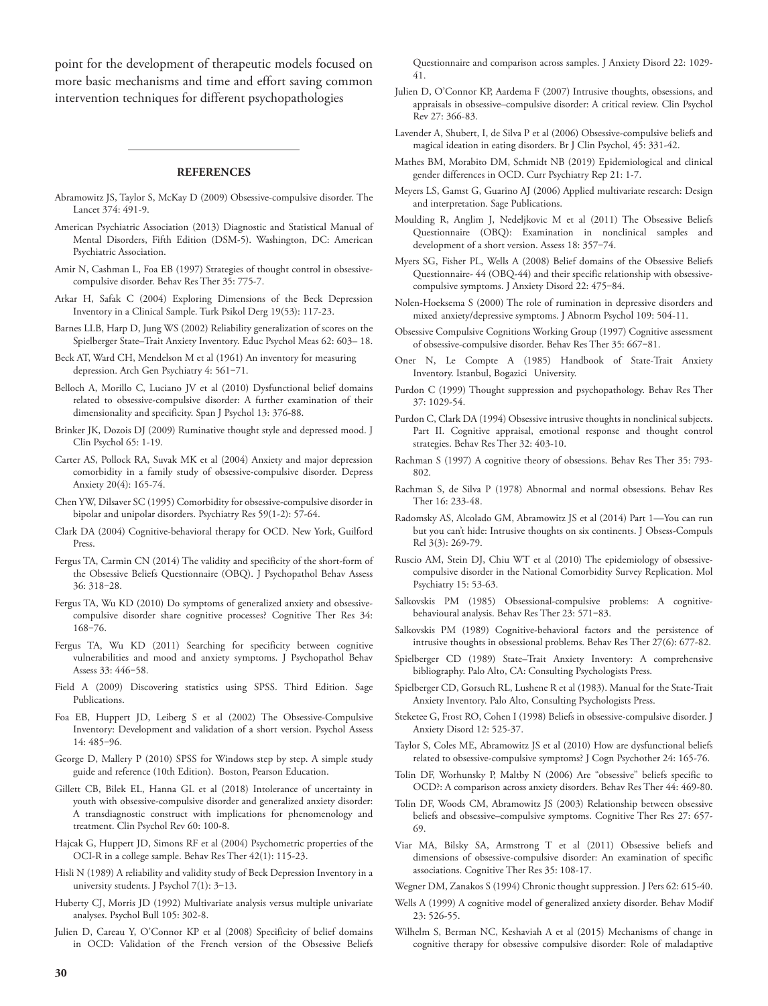point for the development of therapeutic models focused on more basic mechanisms and time and effort saving common intervention techniques for different psychopathologies

#### **REFERENCES**

- Abramowitz JS, Taylor S, McKay D (2009) Obsessive-compulsive disorder. The Lancet 374: 491-9.
- American Psychiatric Association (2013) Diagnostic and Statistical Manual of Mental Disorders, Fifth Edition (DSM-5). Washington, DC: American Psychiatric Association.
- Amir N, Cashman L, Foa EB (1997) Strategies of thought control in obsessivecompulsive disorder. Behav Res Ther 35: 775-7.
- Arkar H, Safak C (2004) Exploring Dimensions of the Beck Depression Inventory in a Clinical Sample. Turk Psikol Derg 19(53): 117-23.
- Barnes LLB, Harp D, Jung WS (2002) Reliability generalization of scores on the Spielberger State–Trait Anxiety Inventory. Educ Psychol Meas 62: 603– 18.
- Beck AT, Ward CH, Mendelson M et al (1961) An inventory for measuring depression. Arch Gen Psychiatry 4: 561-71.
- Belloch A, Morillo C, Luciano JV et al (2010) Dysfunctional belief domains related to obsessive-compulsive disorder: A further examination of their dimensionality and specificity. Span J Psychol 13: 376-88.
- Brinker JK, Dozois DJ (2009) Ruminative thought style and depressed mood. J Clin Psychol 65: 1-19.
- Carter AS, Pollock RA, Suvak MK et al (2004) Anxiety and major depression comorbidity in a family study of obsessive-compulsive disorder. Depress Anxiety 20(4): 165-74.
- Chen YW, Dilsaver SC (1995) Comorbidity for obsessive-compulsive disorder in bipolar and unipolar disorders. Psychiatry Res 59(1-2): 57-64.
- Clark DA (2004) Cognitive-behavioral therapy for OCD. New York, Guilford Press.
- Fergus TA, Carmin CN (2014) The validity and specificity of the short-form of the Obsessive Beliefs Questionnaire (OBQ). J Psychopathol Behav Assess 36: 318‒28.
- Fergus TA, Wu KD (2010) Do symptoms of generalized anxiety and obsessivecompulsive disorder share cognitive processes? Cognitive Ther Res 34: 168‒76.
- Fergus TA, Wu KD (2011) Searching for specificity between cognitive vulnerabilities and mood and anxiety symptoms. J Psychopathol Behav Assess 33: 446‒58.
- Field A (2009) Discovering statistics using SPSS. Third Edition. Sage **Publications**
- Foa EB, Huppert JD, Leiberg S et al (2002) The Obsessive-Compulsive Inventory: Development and validation of a short version. Psychol Assess 14: 485‒96.
- George D, Mallery P (2010) SPSS for Windows step by step. A simple study guide and reference (10th Edition). Boston, Pearson Education.
- Gillett CB, Bilek EL, Hanna GL et al (2018) Intolerance of uncertainty in youth with obsessive-compulsive disorder and generalized anxiety disorder: A transdiagnostic construct with implications for phenomenology and treatment. Clin Psychol Rev 60: 100-8.
- Hajcak G, Huppert JD, Simons RF et al (2004) Psychometric properties of the OCI-R in a college sample. Behav Res Ther 42(1): 115-23.
- Hisli N (1989) A reliability and validity study of Beck Depression Inventory in a university students. J Psychol 7(1): 3-13.
- Huberty CJ, Morris JD (1992) Multivariate analysis versus multiple univariate analyses. Psychol Bull 105: 302-8.
- Julien D, Careau Y, O'Connor KP et al (2008) Specificity of belief domains in OCD: Validation of the French version of the Obsessive Beliefs

Questionnaire and comparison across samples. J Anxiety Disord 22: 1029- 41.

- Julien D, O'Connor KP, Aardema F (2007) Intrusive thoughts, obsessions, and appraisals in obsessive–compulsive disorder: A critical review. Clin Psychol Rev 27: 366-83.
- Lavender A, Shubert, I, de Silva P et al (2006) Obsessive-compulsive beliefs and magical ideation in eating disorders. Br J Clin Psychol, 45: 331-42.
- Mathes BM, Morabito DM, Schmidt NB (2019) Epidemiological and clinical gender differences in OCD. Curr Psychiatry Rep 21: 1-7.
- Meyers LS, Gamst G, Guarino AJ (2006) Applied multivariate research: Design and interpretation. Sage Publications.
- Moulding R, Anglim J, Nedeljkovic M et al (2011) The Obsessive Beliefs Questionnaire (OBQ): Examination in nonclinical samples and development of a short version. Assess 18: 357-74.
- Myers SG, Fisher PL, Wells A (2008) Belief domains of the Obsessive Beliefs Questionnaire- 44 (OBQ-44) and their specific relationship with obsessivecompulsive symptoms. J Anxiety Disord 22: 475-84.
- Nolen-Hoeksema S (2000) The role of rumination in depressive disorders and mixed anxiety/depressive symptoms. J Abnorm Psychol 109: 504-11.
- Obsessive Compulsive Cognitions Working Group (1997) Cognitive assessment of obsessive-compulsive disorder. Behav Res Ther 35: 667-81.
- Oner N, Le Compte A (1985) Handbook of State-Trait Anxiety Inventory. Istanbul, Bogazici University.
- Purdon C (1999) Thought suppression and psychopathology. Behav Res Ther 37: 1029-54.
- Purdon C, Clark DA (1994) Obsessive intrusive thoughts in nonclinical subjects. Part II. Cognitive appraisal, emotional response and thought control strategies. Behav Res Ther 32: 403-10.
- Rachman S (1997) A cognitive theory of obsessions. Behav Res Ther 35: 793- 802.
- Rachman S, de Silva P (1978) Abnormal and normal obsessions. Behav Res Ther 16: 233-48.
- Radomsky AS, Alcolado GM, Abramowitz JS et al (2014) Part 1—You can run but you can't hide: Intrusive thoughts on six continents. J Obsess-Compuls Rel 3(3): 269-79.
- Ruscio AM, Stein DJ, Chiu WT et al (2010) The epidemiology of obsessivecompulsive disorder in the National Comorbidity Survey Replication. Mol Psychiatry 15: 53-63.
- Salkovskis PM (1985) Obsessional-compulsive problems: A cognitivebehavioural analysis. Behav Res Ther 23: 571-83.
- Salkovskis PM (1989) Cognitive-behavioral factors and the persistence of intrusive thoughts in obsessional problems. Behav Res Ther 27(6): 677-82.
- Spielberger CD (1989) State–Trait Anxiety Inventory: A comprehensive bibliography. Palo Alto, CA: Consulting Psychologists Press.
- Spielberger CD, Gorsuch RL, Lushene R et al (1983). Manual for the State-Trait Anxiety Inventory. Palo Alto, Consulting Psychologists Press.
- Steketee G, Frost RO, Cohen I (1998) Beliefs in obsessive-compulsive disorder. J Anxiety Disord 12: 525-37.
- Taylor S, Coles ME, Abramowitz JS et al (2010) How are dysfunctional beliefs related to obsessive-compulsive symptoms? J Cogn Psychother 24: 165-76.
- Tolin DF, Worhunsky P, Maltby N (2006) Are "obsessive" beliefs specific to OCD?: A comparison across anxiety disorders. Behav Res Ther 44: 469-80.
- Tolin DF, Woods CM, Abramowitz JS (2003) Relationship between obsessive beliefs and obsessive–compulsive symptoms. Cognitive Ther Res 27: 657- 69.
- Viar MA, Bilsky SA, Armstrong T et al (2011) Obsessive beliefs and dimensions of obsessive-compulsive disorder: An examination of specific associations. Cognitive Ther Res 35: 108-17.
- Wegner DM, Zanakos S (1994) Chronic thought suppression. J Pers 62: 615-40.
- Wells A (1999) A cognitive model of generalized anxiety disorder. Behav Modif 23: 526-55.
- Wilhelm S, Berman NC, Keshaviah A et al (2015) Mechanisms of change in cognitive therapy for obsessive compulsive disorder: Role of maladaptive